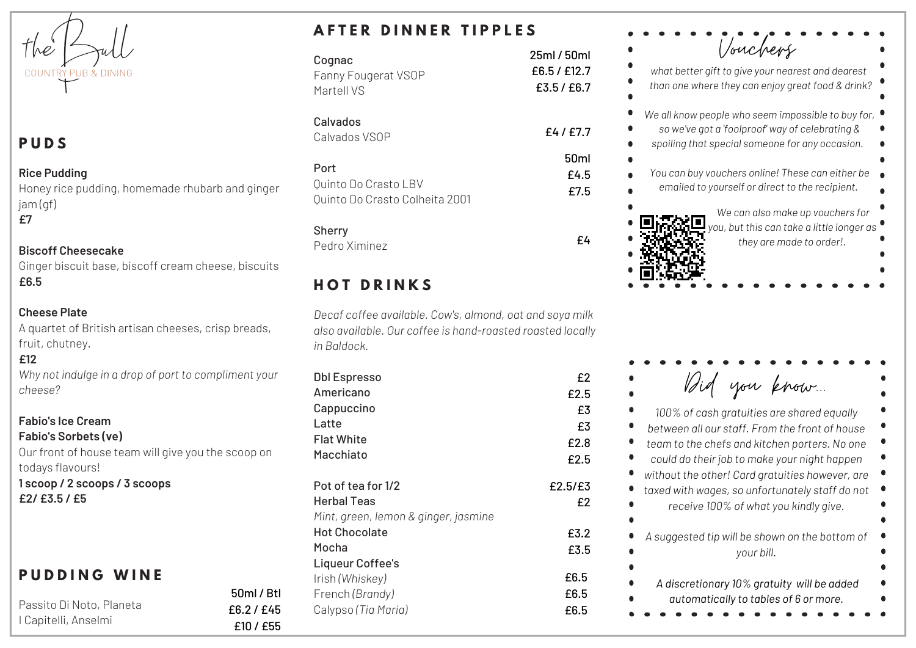$h$ e COUNTRY PUB & DINING

# **P U D S**

#### **Rice Pudding**

Honey rice pudding, homemade rhubarb and ginger jam (gf) **£7**

#### **Biscoff Cheesecake**

Ginger biscuit base, biscoff cream cheese, biscuits **£6.5**

### **Cheese Plate**

A quartet of British artisan cheeses, crisp breads, fruit, chutney.

### **£12**

*Why not indulge in a drop of port to compliment your cheese?*

#### **Fabio's Ice Cream Fabio's Sorbets (ve)**

Our front of house team will give you the scoop on todays flavours!

> 50ml / Btl £6.2 / £45 £10 / £55

**1 scoop / 2 scoops / 3 scoops £2/ £3.5 / £5**

# **P U D D I N G W I N E**

| Passito Di Noto, Planeta |  |
|--------------------------|--|
| I Capitelli, Anselmi     |  |

# **A F T E R D I N N E R T I P P L E S**

| Cognac                         | 25ml / 50ml      |
|--------------------------------|------------------|
| Fanny Fougerat VSOP            | £6.5 / £12.7     |
| Martell VS                     | £3.5 / £6.7      |
| Calvados<br>Calvados VSOP      | £4/£7.7          |
| Port                           | 50 <sub>ml</sub> |
| Quinto Do Crasto LBV           | £4.5             |
| Quinto Do Crasto Colheita 2001 | £7.5             |
| Charm                          |                  |

### Sherry

Pedro Ximinez

# **H O T D R I N K S**

*Decaf coffee available. Cow's, almond, oat and soya milk also available. Our coffee is hand-roasted roasted locally in Baldock.*

£4

| <b>Dbl Espresso</b>                  | £2      |
|--------------------------------------|---------|
| Americano                            | £2.5    |
| Cappuccino                           | £3      |
| Latte                                | £3      |
| <b>Flat White</b>                    | £2.8    |
| Macchiato                            | £2.5    |
| Pot of tea for 1/2                   | £2.5/£3 |
| Herbal Teas                          | f2      |
| Mint, green, lemon & ginger, jasmine |         |
| <b>Hot Chocolate</b>                 | £3.2    |
| Mocha                                | £3.5    |
| Liqueur Coffee's                     |         |
| Irish (Whiskey)                      | £6.5    |
| French (Brandy)                      | £6.5    |
| Calypso (Tia Maria)                  | £6.5    |
|                                      |         |

| Vouchers                                                                                                                                                                                                                                                                                            |
|-----------------------------------------------------------------------------------------------------------------------------------------------------------------------------------------------------------------------------------------------------------------------------------------------------|
| what better gift to give your nearest and dearest<br>than one where they can enjoy great food & drink?                                                                                                                                                                                              |
| We all know people who seem impossible to buy for,<br>so we've got a 'foolproof' way of celebrating &<br>spoiling that special someone for any occasion.<br>You can buy vouchers online! These can either be<br>emailed to yourself or direct to the recipient.<br>We can also make up vouchers for |
|                                                                                                                                                                                                                                                                                                     |
| you, but this can take a little longer as<br>they are made to order!.                                                                                                                                                                                                                               |

| Bid you know.                                                |  |
|--------------------------------------------------------------|--|
| 100% of cash gratuities are shared equally                   |  |
| between all our staff. From the front of house               |  |
| team to the chefs and kitchen porters. No one                |  |
| could do their job to make your night happen                 |  |
| without the other! Card gratuities however, are              |  |
| taxed with wages, so unfortunately staff do not              |  |
| receive 100% of what you kindly give.                        |  |
| A suggested tip will be shown on the bottom of<br>your bill. |  |
|                                                              |  |
| A discretionary 10% gratuity will be added                   |  |
| automatically to tables of 6 or more.                        |  |